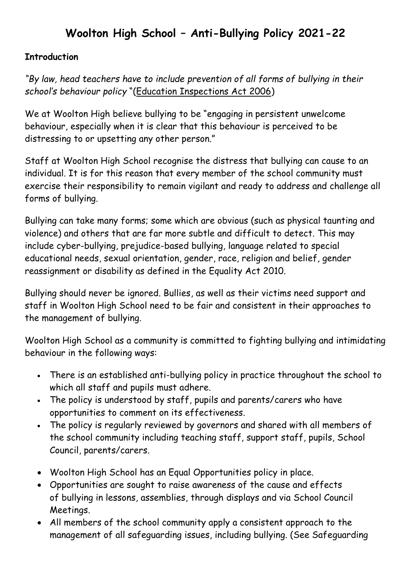## **Woolton High School – Anti-Bullying Policy 2021-22**

## **Introduction**

*"By law, head teachers have to include prevention of all forms of bullying in their school's behaviour policy* "([Education Inspections Act 2006\)](http://www.anti-bullyingalliancetoolkit.org.uk/la_strategic_approach/law,_policy_and_guidance/education__inspections_act_-1.aspx)

We at Woolton High believe bullying to be "engaging in persistent unwelcome behaviour, especially when it is clear that this behaviour is perceived to be distressing to or upsetting any other person."

Staff at Woolton High School recognise the distress that bullying can cause to an individual. It is for this reason that every member of the school community must exercise their responsibility to remain vigilant and ready to address and challenge all forms of bullying.

Bullying can take many forms; some which are obvious (such as physical taunting and violence) and others that are far more subtle and difficult to detect. This may include cyber-bullying, prejudice-based bullying, language related to special educational needs, sexual orientation, gender, race, religion and belief, gender reassignment or disability as defined in the Equality Act 2010.

Bullying should never be ignored. Bullies, as well as their victims need support and staff in Woolton High School need to be fair and consistent in their approaches to the management of bullying.

Woolton High School as a community is committed to fighting bullying and intimidating behaviour in the following ways:

- There is an established anti-bullying policy in practice throughout the school to which all staff and pupils must adhere.
- The policy is understood by staff, pupils and parents/carers who have opportunities to comment on its effectiveness.
- The policy is regularly reviewed by governors and shared with all members of the school community including teaching staff, support staff, pupils, School Council, parents/carers.
- Woolton High School has an Equal Opportunities policy in place.
- Opportunities are sought to raise awareness of the cause and effects of bullying in lessons, assemblies, through displays and via School Council Meetings.
- All members of the school community apply a consistent approach to the management of all safeguarding issues, including bullying. (See Safeguarding